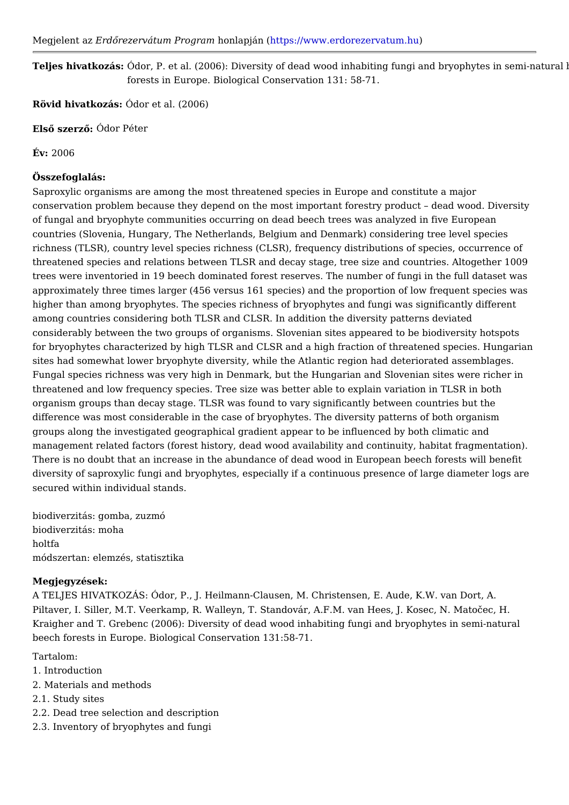Megjelent Earzd Qrezervátum Prohopmal mapjántt ( ps://www.erdorezerv atum.hu

Teljes hivatkozûástor, P. et al. (2006): Diversity of dead wood inhabiting fungi and forests in Europe. Biological Conservation 131: 58-71.

Rövid hivatkozádor et al. (2006)

ElsQ szer**óQ**dor Péter

 $Év: 2006$ 

Összefoglalás:

Saproxylic organisms are among the most threatened species in Europe and const conservation problem because they depend on the most important forestry product of fungal and bryophyte communities occurring on dead beech trees was analyzed countries (Slovenia, Hungary, The Netherlands, Belgium and Denmark) considerin richness (TLSR), country level species richness (CLSR), frequency distributions o threatened species and relations between TLSR and decay stage, tree size and co trees were inventoried in 19 beech dominated forest reserves. The number of fung approximately three times larger (456 versus 161 species) and the proportion of I higher than among bryophytes. The species richness of bryophytes and fungi was among countries considering both TLSR and CLSR. In addition the diversity patter considerably between the two groups of organisms. Slovenian sites appeared to b for bryophytes characterized by high TLSR and CLSR and a high fraction of threat sites had somewhat lower bryophyte diversity, while the Atlantic region had deter Fungal species richness was very high in Denmark, but the Hungarian and Sloveni threatened and low frequency species. Tree size was better able to explain variat organism groups than decay stage. TLSR was found to vary significantly between difference was most considerable in the case of bryophytes. The diversity pattern groups along the investigated geographical gradient appear to be influenced by b management related factors (forest history, dead wood availability and continuity There is no doubt that an increase in the abundance of dead wood in European be diversity of saproxylic fungi and bryophytes, especially if a continuous presence secured within individual stands.

biodiverzitás: gomba, zuzmó biodiverzitás: moha holtfa módszertan: elemzés, statisztika

Megjegyzések:

A TELJES HIVATKOZÁS: Ódor, P., J. Heilmann-Clausen, M. Christensen, E. Aude, Piltaver, I. Siller, M.T. Veerkamp, R. Walleyn, T. Standovár, A.F.M. van Hees, J. Kraigher and T. Grebenc (2006): Diversity of dead wood inhabiting fungi and bryo beech forests in Europe. Biological Conservation 131:58-71.

Tartalom:

- 1. Introduction
- 2. Materials and methods
- 2.1. Study sites
- 2.2. Dead tree selection and description
- 2.3. Inventory of bryophytes and fungi